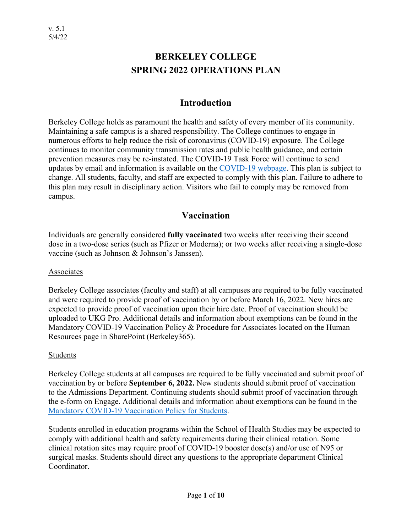# **BERKELEY COLLEGE SPRING 2022 OPERATIONS PLAN**

## **Introduction**

Berkeley College holds as paramount the health and safety of every member of its community. Maintaining a safe campus is a shared responsibility. The College continues to engage in numerous efforts to help reduce the risk of coronavirus (COVID-19) exposure. The College continues to monitor community transmission rates and public health guidance, and certain prevention measures may be re-instated. The COVID-19 Task Force will continue to send updates by email and information is available on the [COVID-19 webpage.](http://berkeleycollege.edu/coronavirus) This plan is subject to change. All students, faculty, and staff are expected to comply with this plan. Failure to adhere to this plan may result in disciplinary action. Visitors who fail to comply may be removed from campus.

## **Vaccination**

Individuals are generally considered **fully vaccinated** two weeks after receiving their second dose in a two-dose series (such as Pfizer or Moderna); or two weeks after receiving a single-dose vaccine (such as Johnson & Johnson's Janssen).

#### Associates

Berkeley College associates (faculty and staff) at all campuses are required to be fully vaccinated and were required to provide proof of vaccination by or before March 16, 2022. New hires are expected to provide proof of vaccination upon their hire date. Proof of vaccination should be uploaded to UKG Pro. Additional details and information about exemptions can be found in the Mandatory COVID-19 Vaccination Policy & Procedure for Associates located on the Human Resources page in SharePoint (Berkeley365).

#### Students

Berkeley College students at all campuses are required to be fully vaccinated and submit proof of vaccination by or before **September 6, 2022.** New students should submit proof of vaccination to the Admissions Department. Continuing students should submit proof of vaccination through the e-form on Engage. Additional details and information about exemptions can be found in the [Mandatory COVID-19 Vaccination Policy for Students.](https://berkeleycollege.edu/newsroom/coronavirus/pdf/vaccination-policy-for-students.pdf)

Students enrolled in education programs within the School of Health Studies may be expected to comply with additional health and safety requirements during their clinical rotation. Some clinical rotation sites may require proof of COVID-19 booster dose(s) and/or use of N95 or surgical masks. Students should direct any questions to the appropriate department Clinical Coordinator.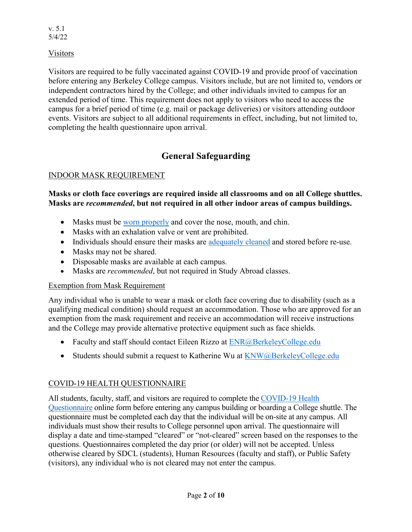Visitors

Visitors are required to be fully vaccinated against COVID-19 and provide proof of vaccination before entering any Berkeley College campus. Visitors include, but are not limited to, vendors or independent contractors hired by the College; and other individuals invited to campus for an extended period of time. This requirement does not apply to visitors who need to access the campus for a brief period of time (e.g. mail or package deliveries) or visitors attending outdoor events. Visitors are subject to all additional requirements in effect, including, but not limited to, completing the health questionnaire upon arrival.

# **General Safeguarding**

### INDOOR MASK REQUIREMENT

#### **Masks or cloth face coverings are required inside all classrooms and on all College shuttles. Masks are** *recommended***, but not required in all other indoor areas of campus buildings.**

- Masks must be [worn properly](https://www.cdc.gov/coronavirus/2019-ncov/prevent-getting-sick/how-to-wear-cloth-face-coverings.html) and cover the nose, mouth, and chin.
- Masks with an exhalation valve or vent are prohibited.
- Individuals should ensure their masks are [adequately cleaned](https://www.cdc.gov/coronavirus/2019-ncov/prevent-getting-sick/how-to-wash-cloth-face-coverings.html) and stored before re-use.
- Masks may not be shared.
- Disposable masks are available at each campus.
- Masks are *recommended*, but not required in Study Abroad classes.

### Exemption from Mask Requirement

Any individual who is unable to wear a mask or cloth face covering due to disability (such as a qualifying medical condition) should request an accommodation. Those who are approved for an exemption from the mask requirement and receive an accommodation will receive instructions and the College may provide alternative protective equipment such as face shields.

- Faculty and staff should contact Eileen Rizzo at [ENR@BerkeleyCollege.edu](mailto:ENR@BerkeleyCollege.edu)
- Students should submit a request to Katherine Wu at [KNW@BerkeleyCollege.edu](mailto:KNW@BerkeleyCollege.edu)

### COVID-19 HEALTH QUESTIONNAIRE

All students, faculty, staff, and visitors are required to complete the [COVID-19 Health](http://berkeleycollege.edu/checkin)  [Questionnaire](http://berkeleycollege.edu/checkin) online form before entering any campus building or boarding a College shuttle. The questionnaire must be completed each day that the individual will be on-site at any campus. All individuals must show their results to College personnel upon arrival. The questionnaire will display a date and time-stamped "cleared" or "not-cleared" screen based on the responses to the questions. Questionnaires completed the day prior (or older) will not be accepted. Unless otherwise cleared by SDCL (students), Human Resources (faculty and staff), or Public Safety (visitors), any individual who is not cleared may not enter the campus.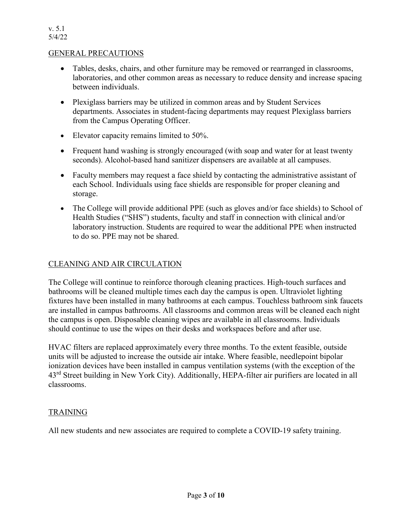#### GENERAL PRECAUTIONS

- Tables, desks, chairs, and other furniture may be removed or rearranged in classrooms, laboratories, and other common areas as necessary to reduce density and increase spacing between individuals.
- Plexiglass barriers may be utilized in common areas and by Student Services departments. Associates in student-facing departments may request Plexiglass barriers from the Campus Operating Officer.
- Elevator capacity remains limited to 50%.
- Frequent hand washing is strongly encouraged (with soap and water for at least twenty seconds). Alcohol-based hand sanitizer dispensers are available at all campuses.
- Faculty members may request a face shield by contacting the administrative assistant of each School. Individuals using face shields are responsible for proper cleaning and storage.
- The College will provide additional PPE (such as gloves and/or face shields) to School of Health Studies ("SHS") students, faculty and staff in connection with clinical and/or laboratory instruction. Students are required to wear the additional PPE when instructed to do so. PPE may not be shared.

#### CLEANING AND AIR CIRCULATION

The College will continue to reinforce thorough cleaning practices. High-touch surfaces and bathrooms will be cleaned multiple times each day the campus is open. Ultraviolet lighting fixtures have been installed in many bathrooms at each campus. Touchless bathroom sink faucets are installed in campus bathrooms. All classrooms and common areas will be cleaned each night the campus is open. Disposable cleaning wipes are available in all classrooms. Individuals should continue to use the wipes on their desks and workspaces before and after use.

HVAC filters are replaced approximately every three months. To the extent feasible, outside units will be adjusted to increase the outside air intake. Where feasible, needlepoint bipolar ionization devices have been installed in campus ventilation systems (with the exception of the 43rd Street building in New York City). Additionally, HEPA-filter air purifiers are located in all classrooms.

#### TRAINING

All new students and new associates are required to complete a COVID-19 safety training.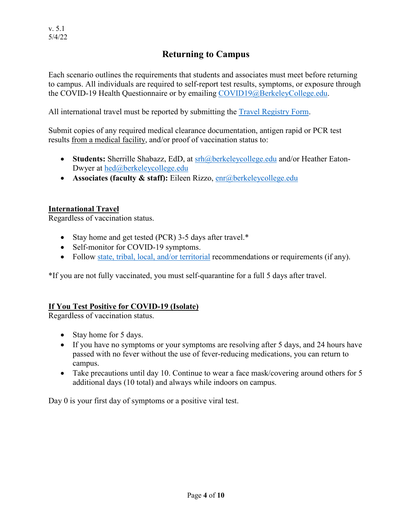## **Returning to Campus**

Each scenario outlines the requirements that students and associates must meet before returning to campus. All individuals are required to self-report test results, symptoms, or exposure through the COVID-19 Health Questionnaire or by emailing [COVID19@BerkeleyCollege.edu.](mailto:COVID19@BerkeleyCollege.edu)

All international travel must be reported by submitting the [Travel Registry Form.](https://bit.ly/2UAKHEp)

Submit copies of any required medical clearance documentation, antigen rapid or PCR test results from a medical facility, and/or proof of vaccination status to:

- **Students:** Sherrille Shabazz, EdD, at [srh@berkeleycollege.edu](mailto:srh@berkeleycollege.edu) and/or Heather Eaton-Dwyer at [hed@berkeleycollege.edu](mailto:hed@berkeleycollege.edu)
- **Associates (faculty & staff):** Eileen Rizzo, [enr@berkeleycollege.edu](mailto:enr@berkeleycollege.edu)

#### **International Travel**

Regardless of vaccination status.

- Stay home and get tested (PCR) 3-5 days after travel.\*
- Self-monitor for COVID-19 symptoms.
- Follow [state, tribal, local, and/or territorial](https://www.cdc.gov/publichealthgateway/healthdirectories/index.html) recommendations or requirements (if any).

\*If you are not fully vaccinated, you must self-quarantine for a full 5 days after travel.

#### **If You Test Positive for COVID-19 (Isolate)**

Regardless of vaccination status.

- Stay home for 5 days.
- If you have no symptoms or your symptoms are resolving after 5 days, and 24 hours have passed with no fever without the use of fever-reducing medications, you can return to campus.
- Take precautions until day 10. Continue to wear a face mask/covering around others for 5 additional days (10 total) and always while indoors on campus.

Day 0 is your first day of symptoms or a positive viral test.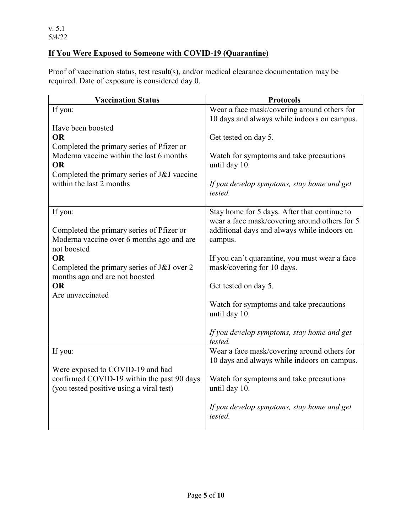### **If You Were Exposed to Someone with COVID-19 (Quarantine)**

Proof of vaccination status, test result(s), and/or medical clearance documentation may be required. Date of exposure is considered day 0.

| <b>Protocols</b>                                                            |
|-----------------------------------------------------------------------------|
| Wear a face mask/covering around others for                                 |
| 10 days and always while indoors on campus.                                 |
|                                                                             |
| Get tested on day 5.                                                        |
| Watch for symptoms and take precautions                                     |
| until day 10.                                                               |
|                                                                             |
| If you develop symptoms, stay home and get<br>tested.                       |
| Stay home for 5 days. After that continue to                                |
| wear a face mask/covering around others for 5                               |
| additional days and always while indoors on                                 |
| campus.                                                                     |
|                                                                             |
| If you can't quarantine, you must wear a face<br>mask/covering for 10 days. |
|                                                                             |
| Get tested on day 5.                                                        |
|                                                                             |
| Watch for symptoms and take precautions                                     |
| until day 10.                                                               |
|                                                                             |
| If you develop symptoms, stay home and get<br>tested.                       |
| Wear a face mask/covering around others for                                 |
| 10 days and always while indoors on campus.                                 |
|                                                                             |
| Watch for symptoms and take precautions                                     |
| until day 10.                                                               |
| If you develop symptoms, stay home and get<br>tested.                       |
|                                                                             |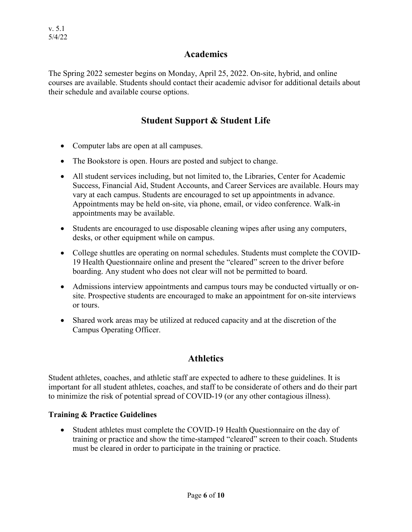#### **Academics**

The Spring 2022 semester begins on Monday, April 25, 2022. On-site, hybrid, and online courses are available. Students should contact their academic advisor for additional details about their schedule and available course options.

### **Student Support & Student Life**

- Computer labs are open at all campuses.
- The Bookstore is open. Hours are posted and subject to change.
- All student services including, but not limited to, the Libraries, Center for Academic Success, Financial Aid, Student Accounts, and Career Services are available. Hours may vary at each campus. Students are encouraged to set up appointments in advance. Appointments may be held on-site, via phone, email, or video conference. Walk-in appointments may be available.
- Students are encouraged to use disposable cleaning wipes after using any computers, desks, or other equipment while on campus.
- College shuttles are operating on normal schedules. Students must complete the COVID-19 Health Questionnaire online and present the "cleared" screen to the driver before boarding. Any student who does not clear will not be permitted to board.
- Admissions interview appointments and campus tours may be conducted virtually or onsite. Prospective students are encouraged to make an appointment for on-site interviews or tours.
- Shared work areas may be utilized at reduced capacity and at the discretion of the Campus Operating Officer.

## **Athletics**

Student athletes, coaches, and athletic staff are expected to adhere to these guidelines. It is important for all student athletes, coaches, and staff to be considerate of others and do their part to minimize the risk of potential spread of COVID-19 (or any other contagious illness).

#### **Training & Practice Guidelines**

• Student athletes must complete the COVID-19 Health Questionnaire on the day of training or practice and show the time-stamped "cleared" screen to their coach. Students must be cleared in order to participate in the training or practice.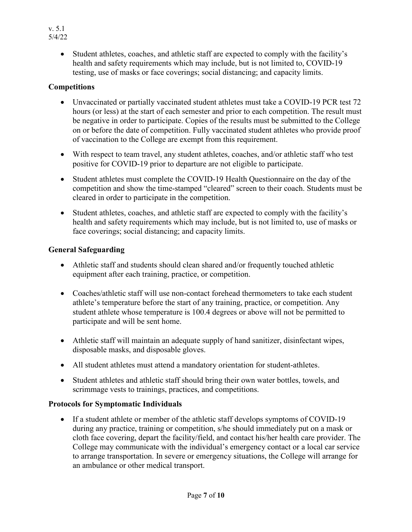• Student athletes, coaches, and athletic staff are expected to comply with the facility's health and safety requirements which may include, but is not limited to, COVID-19 testing, use of masks or face coverings; social distancing; and capacity limits.

#### **Competitions**

- Unvaccinated or partially vaccinated student athletes must take a COVID-19 PCR test 72 hours (or less) at the start of each semester and prior to each competition. The result must be negative in order to participate. Copies of the results must be submitted to the College on or before the date of competition. Fully vaccinated student athletes who provide proof of vaccination to the College are exempt from this requirement.
- With respect to team travel, any student athletes, coaches, and/or athletic staff who test positive for COVID-19 prior to departure are not eligible to participate.
- Student athletes must complete the COVID-19 Health Questionnaire on the day of the competition and show the time-stamped "cleared" screen to their coach. Students must be cleared in order to participate in the competition.
- Student athletes, coaches, and athletic staff are expected to comply with the facility's health and safety requirements which may include, but is not limited to, use of masks or face coverings; social distancing; and capacity limits.

#### **General Safeguarding**

- Athletic staff and students should clean shared and/or frequently touched athletic equipment after each training, practice, or competition.
- Coaches/athletic staff will use non-contact forehead thermometers to take each student athlete's temperature before the start of any training, practice, or competition. Any student athlete whose temperature is 100.4 degrees or above will not be permitted to participate and will be sent home.
- Athletic staff will maintain an adequate supply of hand sanitizer, disinfectant wipes, disposable masks, and disposable gloves.
- All student athletes must attend a mandatory orientation for student-athletes.
- Student athletes and athletic staff should bring their own water bottles, towels, and scrimmage vests to trainings, practices, and competitions.

### **Protocols for Symptomatic Individuals**

• If a student athlete or member of the athletic staff develops symptoms of COVID-19 during any practice, training or competition, s/he should immediately put on a mask or cloth face covering, depart the facility/field, and contact his/her health care provider. The College may communicate with the individual's emergency contact or a local car service to arrange transportation. In severe or emergency situations, the College will arrange for an ambulance or other medical transport.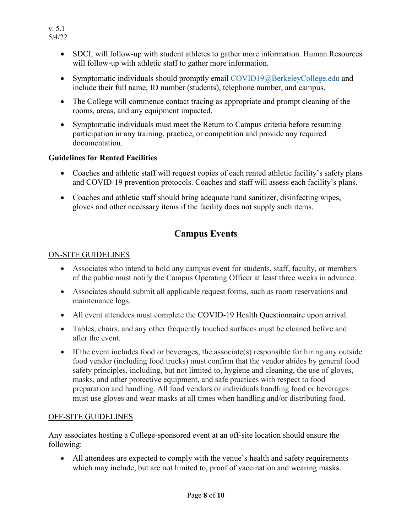- SDCL will follow-up with student athletes to gather more information. Human Resources will follow-up with athletic staff to gather more information.
- Symptomatic individuals should promptly email [COVID19@BerkeleyCollege.edu](mailto:COVID19@BerkeleyCollege.edu) and include their full name, ID number (students), telephone number, and campus.
- The College will commence contact tracing as appropriate and prompt cleaning of the rooms, areas, and any equipment impacted.
- Symptomatic individuals must meet the Return to Campus criteria before resuming participation in any training, practice, or competition and provide any required documentation.

#### **Guidelines for Rented Facilities**

- Coaches and athletic staff will request copies of each rented athletic facility's safety plans and COVID-19 prevention protocols. Coaches and staff will assess each facility's plans.
- Coaches and athletic staff should bring adequate hand sanitizer, disinfecting wipes, gloves and other necessary items if the facility does not supply such items.

# **Campus Events**

#### ON-SITE GUIDELINES

- Associates who intend to hold any campus event for students, staff, faculty, or members of the public must notify the Campus Operating Officer at least three weeks in advance.
- Associates should submit all applicable request forms, such as room reservations and maintenance logs.
- All event attendees must complete the COVID-19 Health Questionnaire upon arrival.
- Tables, chairs, and any other frequently touched surfaces must be cleaned before and after the event.
- If the event includes food or beverages, the associate(s) responsible for hiring any outside food vendor (including food trucks) must confirm that the vendor abides by general food safety principles, including, but not limited to, hygiene and cleaning, the use of gloves, masks, and other protective equipment, and safe practices with respect to food preparation and handling. All food vendors or individuals handling food or beverages must use gloves and wear masks at all times when handling and/or distributing food.

#### OFF-SITE GUIDELINES

Any associates hosting a College-sponsored event at an off-site location should ensure the following:

• All attendees are expected to comply with the venue's health and safety requirements which may include, but are not limited to, proof of vaccination and wearing masks.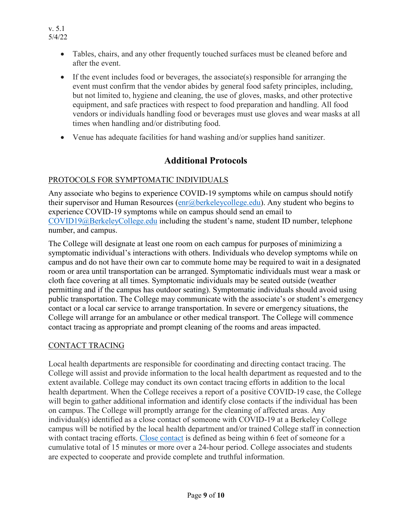- Tables, chairs, and any other frequently touched surfaces must be cleaned before and after the event.
- If the event includes food or beverages, the associate(s) responsible for arranging the event must confirm that the vendor abides by general food safety principles, including, but not limited to, hygiene and cleaning, the use of gloves, masks, and other protective equipment, and safe practices with respect to food preparation and handling. All food vendors or individuals handling food or beverages must use gloves and wear masks at all times when handling and/or distributing food.
- Venue has adequate facilities for hand washing and/or supplies hand sanitizer.

## **Additional Protocols**

### PROTOCOLS FOR SYMPTOMATIC INDIVIDUALS

Any associate who begins to experience COVID-19 symptoms while on campus should notify their supervisor and Human Resources  $(\text{enr}(\alpha)$  berkeleycollege.edu). Any student who begins to experience COVID-19 symptoms while on campus should send an email to [COVID19@BerkeleyCollege.edu](mailto:COVID19@BerkeleyCollege.edu) including the student's name, student ID number, telephone number, and campus.

The College will designate at least one room on each campus for purposes of minimizing a symptomatic individual's interactions with others. Individuals who develop symptoms while on campus and do not have their own car to commute home may be required to wait in a designated room or area until transportation can be arranged. Symptomatic individuals must wear a mask or cloth face covering at all times. Symptomatic individuals may be seated outside (weather permitting and if the campus has outdoor seating). Symptomatic individuals should avoid using public transportation. The College may communicate with the associate's or student's emergency contact or a local car service to arrange transportation. In severe or emergency situations, the College will arrange for an ambulance or other medical transport. The College will commence contact tracing as appropriate and prompt cleaning of the rooms and areas impacted.

### CONTACT TRACING

Local health departments are responsible for coordinating and directing contact tracing. The College will assist and provide information to the local health department as requested and to the extent available. College may conduct its own contact tracing efforts in addition to the local health department. When the College receives a report of a positive COVID-19 case, the College will begin to gather additional information and identify close contacts if the individual has been on campus. The College will promptly arrange for the cleaning of affected areas. Any individual(s) identified as a close contact of someone with COVID-19 at a Berkeley College campus will be notified by the local health department and/or trained College staff in connection with contact tracing efforts. [Close contact](https://www.cdc.gov/coronavirus/2019-ncov/your-health/quarantine-isolation.html#closecontact) is defined as being within 6 feet of someone for a cumulative total of 15 minutes or more over a 24-hour period. College associates and students are expected to cooperate and provide complete and truthful information.